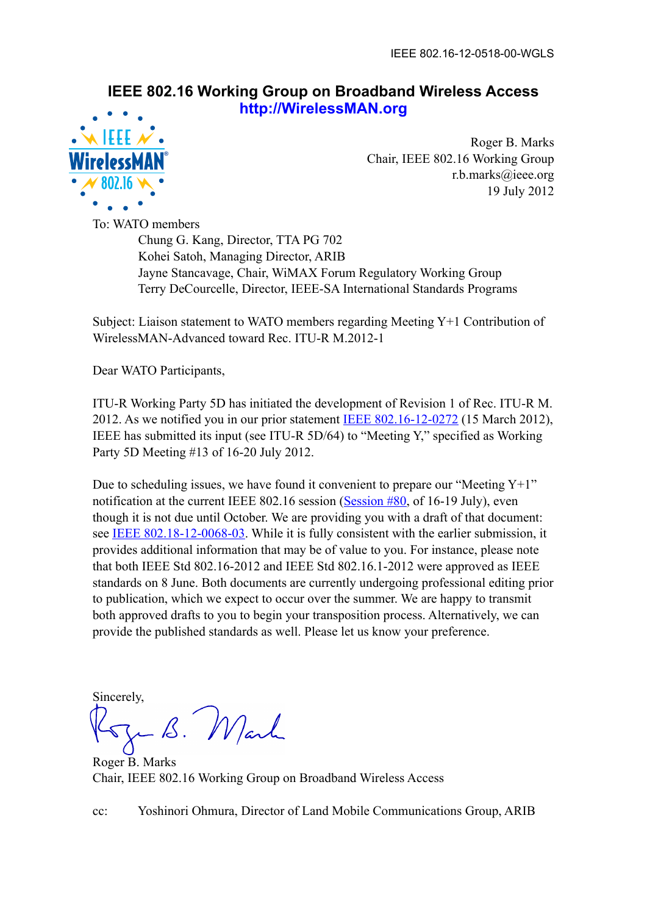## **IEEE 802.16 Working Group on Broadband Wireless Access http://WirelessMAN.org**



Roger B. Marks Chair, IEEE 802.16 Working Group r.b.marks@ieee.org 19 July 2012

To: WATO members Chung G. Kang, Director, TTA PG 702 Kohei Satoh, Managing Director, ARIB

 Jayne Stancavage, Chair, WiMAX Forum Regulatory Working Group Terry DeCourcelle, Director, IEEE-SA International Standards Programs

Subject: Liaison statement to WATO members regarding Meeting Y+1 Contribution of WirelessMAN-Advanced toward Rec. ITU-R M.2012-1

Dear WATO Participants,

ITU-R Working Party 5D has initiated the development of Revision 1 of Rec. ITU-R M. 2012. As we notified you in our prior statement [IEEE 802.16-12-0272](https://mentor.ieee.org/802.16/dcn/12/16-12-0272) (15 March 2012), IEEE has submitted its input (see ITU-R 5D/64) to "Meeting Y," specified as Working Party 5D Meeting #13 of 16-20 July 2012.

Due to scheduling issues, we have found it convenient to prepare our "Meeting  $Y+1$ " notification at the current IEEE 802.16 session [\(Session #80](http://ieee802.org/16/meetings/mtg80), of 16-19 July), even though it is not due until October. We are providing you with a draft of that document: see [IEEE 802.18-12-0068-03](https://mentor.ieee.org/802.18/dcn/12/18-12-0068-03). While it is fully consistent with the earlier submission, it provides additional information that may be of value to you. For instance, please note that both IEEE Std 802.16-2012 and IEEE Std 802.16.1-2012 were approved as IEEE standards on 8 June. Both documents are currently undergoing professional editing prior to publication, which we expect to occur over the summer. We are happy to transmit both approved drafts to you to begin your transposition process. Alternatively, we can provide the published standards as well. Please let us know your preference.

**Sincerely** 

- B. Marl

Roger B. Marks Chair, IEEE 802.16 Working Group on Broadband Wireless Access

cc: Yoshinori Ohmura, Director of Land Mobile Communications Group, ARIB